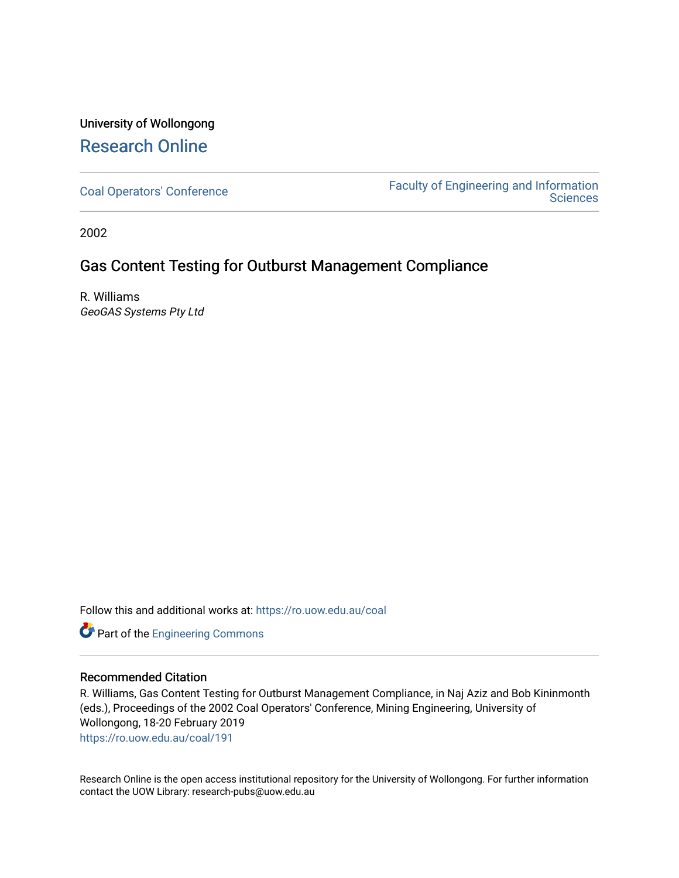## University of Wollongong [Research Online](https://ro.uow.edu.au/)

[Coal Operators' Conference](https://ro.uow.edu.au/coal) [Faculty of Engineering and Information](https://ro.uow.edu.au/eis)  **Sciences** 

2002

## Gas Content Testing for Outburst Management Compliance

R. Williams GeoGAS Systems Pty Ltd

Follow this and additional works at: [https://ro.uow.edu.au/coal](https://ro.uow.edu.au/coal?utm_source=ro.uow.edu.au%2Fcoal%2F191&utm_medium=PDF&utm_campaign=PDFCoverPages) 

Part of the [Engineering Commons](http://network.bepress.com/hgg/discipline/217?utm_source=ro.uow.edu.au%2Fcoal%2F191&utm_medium=PDF&utm_campaign=PDFCoverPages)

### Recommended Citation

R. Williams, Gas Content Testing for Outburst Management Compliance, in Naj Aziz and Bob Kininmonth (eds.), Proceedings of the 2002 Coal Operators' Conference, Mining Engineering, University of Wollongong, 18-20 February 2019

[https://ro.uow.edu.au/coal/191](https://ro.uow.edu.au/coal/191?utm_source=ro.uow.edu.au%2Fcoal%2F191&utm_medium=PDF&utm_campaign=PDFCoverPages) 

Research Online is the open access institutional repository for the University of Wollongong. For further information contact the UOW Library: research-pubs@uow.edu.au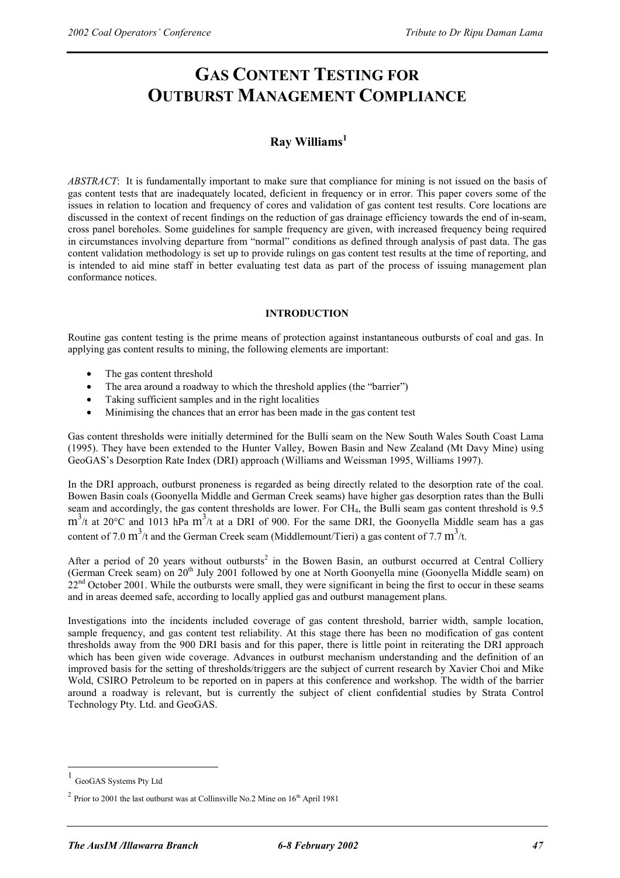# **GAS CONTENT TESTING FOR OUTBURST MANAGEMENT COMPLIANCE**

## **Ray Williams 1**

*ABSTRACT*: It is fundamentally important to make sure that compliance for mining is not issued on the basis of gas content tests that are inadequately located, deficient in frequency or in error. This paper covers some of the issues in relation to location and frequency of cores and validation of gas content test results. Core locations are discussed in the context of recent findings on the reduction of gas drainage efficiency towards the end of in-seam, cross panel boreholes. Some guidelines for sample frequency are given, with increased frequency being required in circumstances involving departure from "normal" conditions as defined through analysis of past data. The gas content validation methodology is set up to provide rulings on gas content test results at the time of reporting, and is intended to aid mine staff in better evaluating test data as part of the process of issuing management plan conformance notices.

#### **INTRODUCTION**

Routine gas content testing is the prime means of protection against instantaneous outbursts of coal and gas. In applying gas content results to mining, the following elements are important:

- The gas content threshold
- The area around a roadway to which the threshold applies (the "barrier")
- Taking sufficient samples and in the right localities
- Minimising the chances that an error has been made in the gas content test

Gas content thresholds were initially determined for the Bulli seam on the New South Wales South Coast Lama (1995). They have been extended to the Hunter Valley, Bowen Basin and New Zealand (Mt Davy Mine) using GeoGAS's Desorption Rate Index (DRI) approach (Williams and Weissman 1995, Williams 1997).

In the DRI approach, outburst proneness is regarded as being directly related to the desorption rate of the coal. Bowen Basin coals (Goonyella Middle and German Creek seams) have higher gas desorption rates than the Bulli seam and accordingly, the gas content thresholds are lower. For CH<sub>4</sub>, the Bulli seam gas content threshold is 9.5  $m<sup>3</sup>/t$  at 20°C and 1013 hPa  $m<sup>3</sup>/t$  at a DRI of 900. For the same DRI, the Goonyella Middle seam has a gas content of 7.0 m<sup>3</sup>/t and the German Creek seam (Middlemount/Tieri) a gas content of 7.7 m<sup>3</sup>/t.

After a period of 20 years without outbursts<sup>2</sup> in the Bowen Basin, an outburst occurred at Central Colliery (German Creek seam) on 20<sup>th</sup> July 2001 followed by one at North Goonyella mine (Goonyella Middle seam) on  $22<sup>nd</sup>$  October 2001. While the outbursts were small, they were significant in being the first to occur in these seams and in areas deemed safe, according to locally applied gas and outburst management plans.

Investigations into the incidents included coverage of gas content threshold, barrier width, sample location, sample frequency, and gas content test reliability. At this stage there has been no modification of gas content thresholds away from the 900 DRI basis and for this paper, there is little point in reiterating the DRI approach which has been given wide coverage. Advances in outburst mechanism understanding and the definition of an improved basis for the setting of thresholds/triggers are the subject of current research by Xavier Choi and Mike Wold, CSIRO Petroleum to be reported on in papers at this conference and workshop. The width of the barrier around a roadway is relevant, but is currently the subject of client confidential studies by Strata Control Technology Pty. Ltd. and GeoGAS.

 $\overline{a}$ 

GeoGAS Systems Pty Ltd

 $2$  Prior to 2001 the last outburst was at Collinsville No.2 Mine on  $16<sup>th</sup>$  April 1981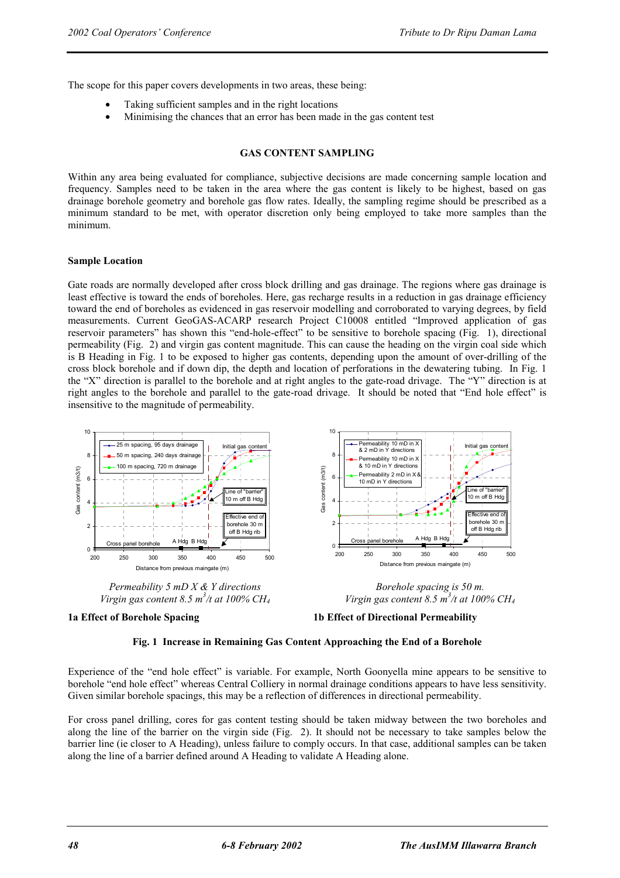The scope for this paper covers developments in two areas, these being:

- Taking sufficient samples and in the right locations
- Minimising the chances that an error has been made in the gas content test

#### **GAS CONTENT SAMPLING**

Within any area being evaluated for compliance, subjective decisions are made concerning sample location and frequency. Samples need to be taken in the area where the gas content is likely to be highest, based on gas drainage borehole geometry and borehole gas flow rates. Ideally, the sampling regime should be prescribed as a minimum standard to be met, with operator discretion only being employed to take more samples than the minimum.

#### **Sample Location**

Gate roads are normally developed after cross block drilling and gas drainage. The regions where gas drainage is least effective is toward the ends of boreholes. Here, gas recharge results in a reduction in gas drainage efficiency toward the end of boreholes as evidenced in gas reservoir modelling and corroborated to varying degrees, by field measurements. Current GeoGAS-ACARP research Project C10008 entitled "Improved application of gas reservoir parameters" has shown this "end-hole-effect" to be sensitive to borehole spacing (Fig. 1), directional permeability (Fig. 2) and virgin gas content magnitude. This can cause the heading on the virgin coal side which is B Heading in Fig. 1 to be exposed to higher gas contents, depending upon the amount of over-drilling of the cross block borehole and if down dip, the depth and location of perforations in the dewatering tubing. In Fig. 1 the "X" direction is parallel to the borehole and at right angles to the gate-road drivage. The "Y" direction is at right angles to the borehole and parallel to the gate-road drivage. It should be noted that "End hole effect" is insensitive to the magnitude of permeability.



*Virgin gas content 8.5 m<sup>3</sup> /t at 100% CH4*







Experience of the "end hole effect" is variable. For example, North Goonyella mine appears to be sensitive to borehole "end hole effect" whereas Central Colliery in normal drainage conditions appears to have less sensitivity. Given similar borehole spacings, this may be a reflection of differences in directional permeability.

For cross panel drilling, cores for gas content testing should be taken midway between the two boreholes and along the line of the barrier on the virgin side (Fig. 2). It should not be necessary to take samples below the barrier line (ie closer to A Heading), unless failure to comply occurs. In that case, additional samples can be taken along the line of a barrier defined around A Heading to validate A Heading alone.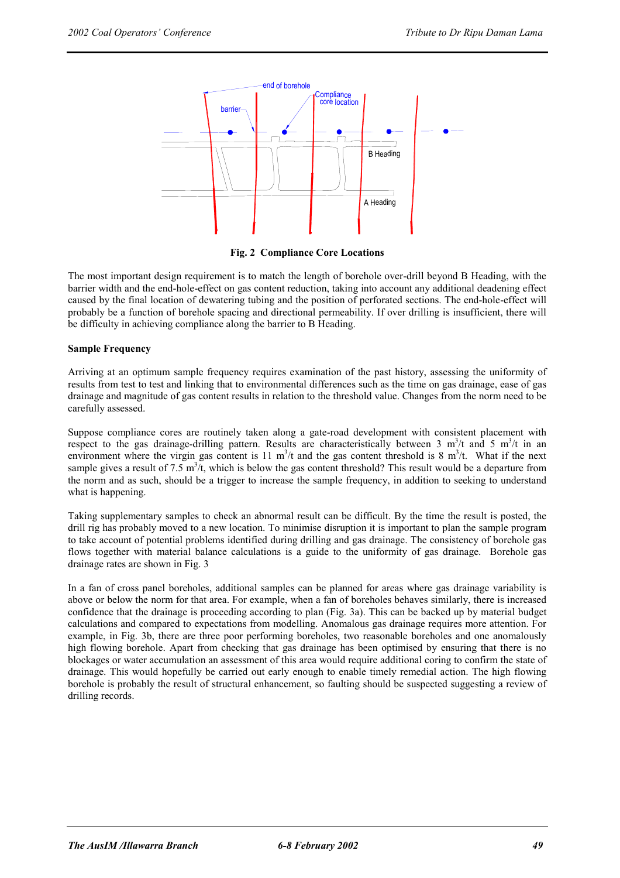

**Fig. 2 Compliance Core Locations** 

The most important design requirement is to match the length of borehole over-drill beyond B Heading, with the barrier width and the end-hole-effect on gas content reduction, taking into account any additional deadening effect caused by the final location of dewatering tubing and the position of perforated sections. The end-hole-effect will probably be a function of borehole spacing and directional permeability. If over drilling is insufficient, there will be difficulty in achieving compliance along the barrier to B Heading.

#### **Sample Frequency**

Arriving at an optimum sample frequency requires examination of the past history, assessing the uniformity of results from test to test and linking that to environmental differences such as the time on gas drainage, ease of gas drainage and magnitude of gas content results in relation to the threshold value. Changes from the norm need to be carefully assessed.

Suppose compliance cores are routinely taken along a gate-road development with consistent placement with respect to the gas drainage-drilling pattern. Results are characteristically between 3  $m^3/t$  and 5  $m^3/t$  in an environment where the virgin gas content is 11  $m^3/t$  and the gas content threshold is 8  $m^3/t$ . What if the next sample gives a result of 7.5 m<sup>3</sup>/t, which is below the gas content threshold? This result would be a departure from the norm and as such, should be a trigger to increase the sample frequency, in addition to seeking to understand what is happening.

Taking supplementary samples to check an abnormal result can be difficult. By the time the result is posted, the drill rig has probably moved to a new location. To minimise disruption it is important to plan the sample program to take account of potential problems identified during drilling and gas drainage. The consistency of borehole gas flows together with material balance calculations is a guide to the uniformity of gas drainage. Borehole gas drainage rates are shown in Fig. 3

In a fan of cross panel boreholes, additional samples can be planned for areas where gas drainage variability is above or below the norm for that area. For example, when a fan of boreholes behaves similarly, there is increased confidence that the drainage is proceeding according to plan (Fig. 3a). This can be backed up by material budget calculations and compared to expectations from modelling. Anomalous gas drainage requires more attention. For example, in Fig. 3b, there are three poor performing boreholes, two reasonable boreholes and one anomalously high flowing borehole. Apart from checking that gas drainage has been optimised by ensuring that there is no blockages or water accumulation an assessment of this area would require additional coring to confirm the state of drainage. This would hopefully be carried out early enough to enable timely remedial action. The high flowing borehole is probably the result of structural enhancement, so faulting should be suspected suggesting a review of drilling records.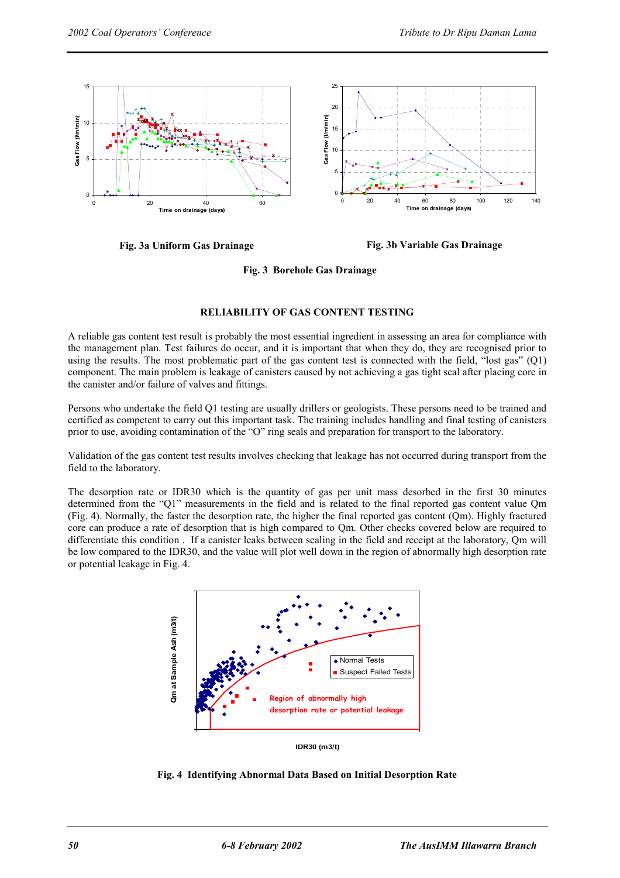

**Fig. 3a Uniform Gas Drainage Fig. 3b Variable Gas Drainage** 

**Fig. 3 Borehole Gas Drainage** 

#### **RELIABILITY OF GAS CONTENT TESTING**

A reliable gas content test result is probably the most essential ingredient in assessing an area for compliance with the management plan. Test failures do occur, and it is important that when they do, they are recognised prior to using the results. The most problematic part of the gas content test is connected with the field, "lost gas" (Q1) component. The main problem is leakage of canisters caused by not achieving a gas tight seal after placing core in the canister and/or failure of valves and fittings.

Persons who undertake the field Q1 testing are usually drillers or geologists. These persons need to be trained and certified as competent to carry out this important task. The training includes handling and final testing of canisters prior to use, avoiding contamination of the "O" ring seals and preparation for transport to the laboratory.

Validation of the gas content test results involves checking that leakage has not occurred during transport from the field to the laboratory.

The desorption rate or IDR30 which is the quantity of gas per unit mass desorbed in the first 30 minutes determined from the "Q1" measurements in the field and is related to the final reported gas content value Qm (Fig. 4). Normally, the faster the desorption rate, the higher the final reported gas content (Qm). Highly fractured core can produce a rate of desorption that is high compared to Qm. Other checks covered below are required to differentiate this condition . If a canister leaks between sealing in the field and receipt at the laboratory, Qm will be low compared to the IDR30, and the value will plot well down in the region of abnormally high desorption rate or potential leakage in Fig. 4.



**Fig. 4 Identifying Abnormal Data Based on Initial Desorption Rate**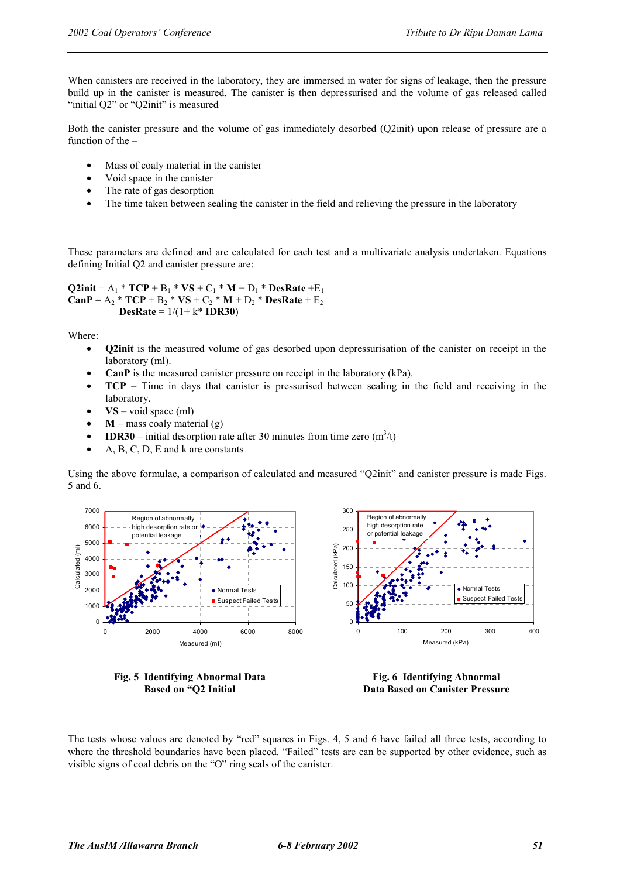When canisters are received in the laboratory, they are immersed in water for signs of leakage, then the pressure build up in the canister is measured. The canister is then depressurised and the volume of gas released called "initial Q2" or "Q2init" is measured

Both the canister pressure and the volume of gas immediately desorbed (Q2init) upon release of pressure are a function of the –

- Mass of coaly material in the canister
- Void space in the canister
- The rate of gas desorption
- The time taken between sealing the canister in the field and relieving the pressure in the laboratory

These parameters are defined and are calculated for each test and a multivariate analysis undertaken. Equations defining Initial Q2 and canister pressure are:

```
Q2init = A<sub>1</sub> * TCP + B<sub>1</sub> * VS + C<sub>1</sub> * M + D<sub>1</sub> * DesRate + E<sub>1</sub>
CanP = A_2 * TCP + B_2 * VS + C_2 * M + D_2 * DesRate + E_2DesRate = 1/(1+ k* IDR30)
```
Where:

- **Q2init** is the measured volume of gas desorbed upon depressurisation of the canister on receipt in the laboratory (ml).
- **CanP** is the measured canister pressure on receipt in the laboratory (kPa).
- **TCP** Time in days that canister is pressurised between sealing in the field and receiving in the laboratory.
- **VS** void space (ml)
- $M$  mass coaly material (g)
- **IDR30** initial desorption rate after 30 minutes from time zero  $(m^3/t)$
- A, B, C, D, E and k are constants

Using the above formulae, a comparison of calculated and measured "Q2init" and canister pressure is made Figs. 5 and 6.



**Fig. 5 Identifying Abnormal Data Based on "Q2 Initial** 

**Fig. 6 Identifying Abnormal Data Based on Canister Pressure** 

The tests whose values are denoted by "red" squares in Figs. 4, 5 and 6 have failed all three tests, according to where the threshold boundaries have been placed. "Failed" tests are can be supported by other evidence, such as visible signs of coal debris on the "O" ring seals of the canister.